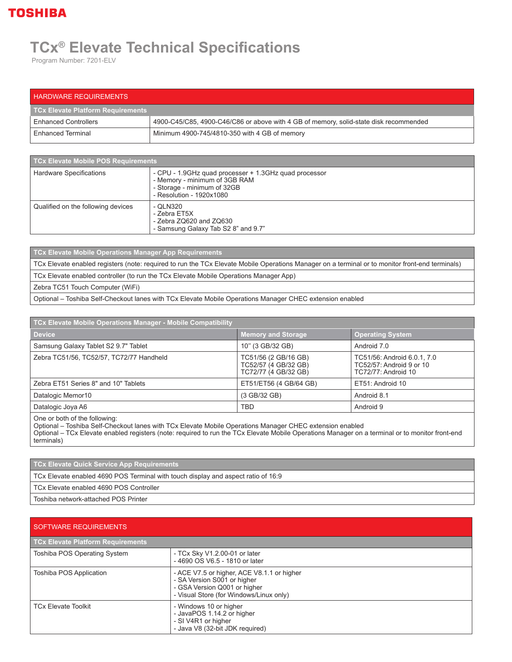## **TOSHIBA**

## **TCx® Elevate Technical Specifications**

Program Number: 7201-ELV

| <b>HARDWARE REQUIREMENTS</b>      |                                                                                       |
|-----------------------------------|---------------------------------------------------------------------------------------|
| TCx Elevate Platform Requirements |                                                                                       |
| <b>Enhanced Controllers</b>       | 4900-C45/C85, 4900-C46/C86 or above with 4 GB of memory, solid-state disk recommended |
| Enhanced Terminal                 | Minimum 4900-745/4810-350 with 4 GB of memory                                         |

| TCx Elevate Mobile POS Requirements |                                                                                                                                                   |
|-------------------------------------|---------------------------------------------------------------------------------------------------------------------------------------------------|
| Hardware Specifications             | - CPU - 1.9GHz quad processer + 1.3GHz quad processor<br>- Memory - minimum of 3GB RAM<br>- Storage - minimum of 32GB<br>- Resolution - 1920x1080 |
| Qualified on the following devices  | - QLN320<br>- Zebra ET5X<br>- Zebra ZQ620 and ZQ630<br>- Samsung Galaxy Tab S2 8" and 9.7"                                                        |

**TCx Elevate Mobile Operations Manager App Requirements** TCx Elevate enabled registers (note: required to run the TCx Elevate Mobile Operations Manager on a terminal or to monitor front-end terminals) TCx Elevate enabled controller (to run the TCx Elevate Mobile Operations Manager App) Zebra TC51 Touch Computer (WiFi) Optional – Toshiba Self-Checkout lanes with TCx Elevate Mobile Operations Manager CHEC extension enabled

| TCx Elevate Mobile Operations Manager - Mobile Compatibility |                                                                      |                                                                                |  |  |
|--------------------------------------------------------------|----------------------------------------------------------------------|--------------------------------------------------------------------------------|--|--|
| <b>Device</b>                                                | <b>Memory and Storage</b>                                            | <b>Operating System</b>                                                        |  |  |
| Samsung Galaxy Tablet S2 9.7" Tablet                         | 10" (3 GB/32 GB)                                                     | Android 7.0                                                                    |  |  |
| Zebra TC51/56, TC52/57, TC72/77 Handheld                     | TC51/56 (2 GB/16 GB)<br>TC52/57 (4 GB/32 GB)<br>TC72/77 (4 GB/32 GB) | TC51/56: Android 6.0.1, 7.0<br>TC52/57: Android 9 or 10<br>TC72/77: Android 10 |  |  |
| Zebra ET51 Series 8" and 10" Tablets                         | ET51/ET56 (4 GB/64 GB)                                               | ET51: Android 10                                                               |  |  |
| Datalogic Memor10                                            | (3 GB/32 GB)                                                         | Android 8.1                                                                    |  |  |
| Datalogic Joya A6                                            | TBD                                                                  | Android 9                                                                      |  |  |

One or both of the following:

Optional – Toshiba Self-Checkout lanes with TCx Elevate Mobile Operations Manager CHEC extension enabled

Optional – TCx Elevate enabled registers (note: required to run the TCx Elevate Mobile Operations Manager on a terminal or to monitor front-end terminals)

**TCx Elevate Quick Service App Requirements**

TCx Elevate enabled 4690 POS Terminal with touch display and aspect ratio of 16:9

TCx Elevate enabled 4690 POS Controller

Toshiba network-attached POS Printer

| <b>SOFTWARE REQUIREMENTS</b>             |                                                                                                                                                      |  |
|------------------------------------------|------------------------------------------------------------------------------------------------------------------------------------------------------|--|
| <b>TCx Elevate Platform Requirements</b> |                                                                                                                                                      |  |
| Toshiba POS Operating System             | - TCx Sky V1.2.00-01 or later<br>-4690 OS V6.5 - 1810 or later                                                                                       |  |
| Toshiba POS Application                  | - ACE V7.5 or higher, ACE V8.1.1 or higher<br>- SA Version S001 or higher<br>- GSA Version Q001 or higher<br>- Visual Store (for Windows/Linux only) |  |
| <b>TCx Elevate Toolkit</b>               | - Windows 10 or higher<br>- JavaPOS 1.14.2 or higher<br>- SI V4R1 or higher<br>- Java V8 (32-bit JDK required)                                       |  |